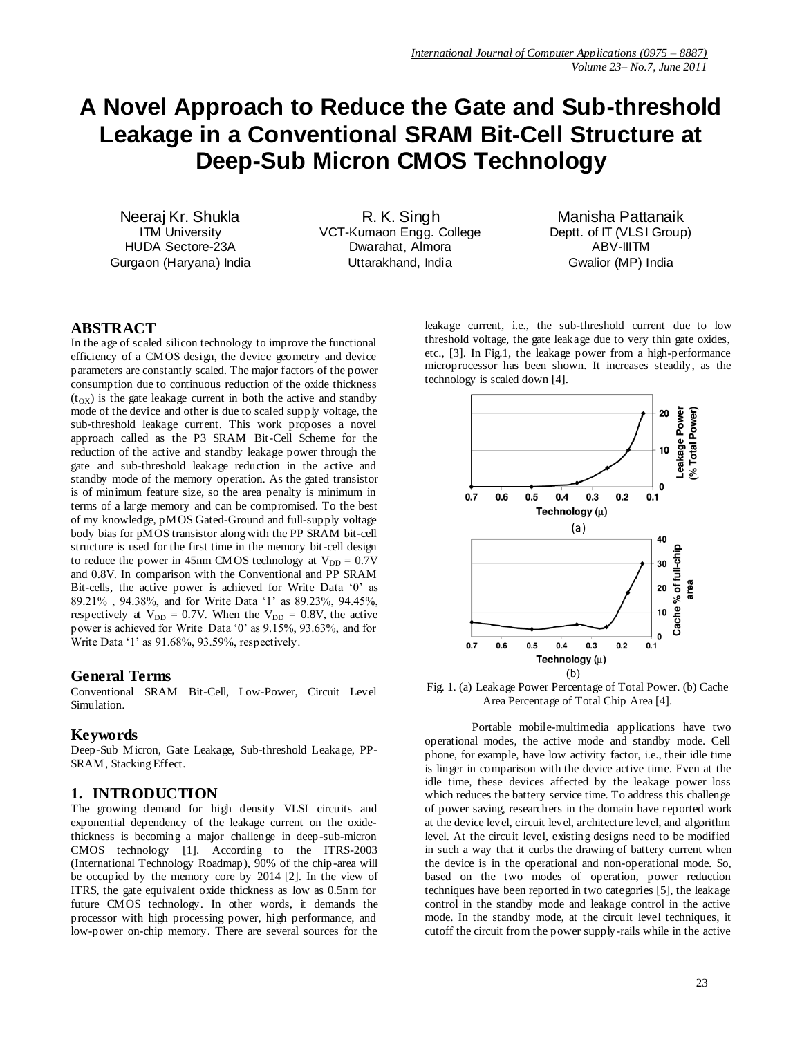# **A Novel Approach to Reduce the Gate and Sub-threshold Leakage in a Conventional SRAM Bit-Cell Structure at Deep-Sub Micron CMOS Technology**

Neeraj Kr. Shukla ITM University HUDA Sectore-23A Gurgaon (Haryana) India

R. K. Singh VCT-Kumaon Engg. College Dwarahat, Almora Uttarakhand, India

Manisha Pattanaik Deptt. of IT (VLSI Group) ABV-IIITM Gwalior (MP) India

## **ABSTRACT**

In the age of scaled silicon technology to improve the functional efficiency of a CMOS design, the device geometry and device parameters are constantly scaled. The major factors of the power consumption due to continuous reduction of the oxide thickness  $(t_{\text{OX}})$  is the gate leakage current in both the active and standby mode of the device and other is due to scaled supply voltage, the sub-threshold leakage current. This work proposes a novel approach called as the P3 SRAM Bit-Cell Scheme for the reduction of the active and standby leakage power through the gate and sub-threshold leakage reduction in the active and standby mode of the memory operation. As the gated transistor is of minimum feature size, so the area penalty is minimum in terms of a large memory and can be compromised. To the best of my knowledge, pMOS Gated-Ground and full-supply voltage body bias for pMOS transistor along with the PP SRAM bit-cell structure is used for the first time in the memory bit-cell design to reduce the power in 45nm CMOS technology at  $V_{DD} = 0.7V$ and 0.8V. In comparison with the Conventional and PP SRAM Bit-cells, the active power is achieved for Write Data '0' as 89.21% , 94.38%, and for Write Data "1" as 89.23%, 94.45%, respectively at  $V_{DD} = 0.7V$ . When the  $V_{DD} = 0.8V$ , the active power is achieved for Write Data "0" as 9.15%, 93.63%, and for Write Data "1" as 91.68%, 93.59%, respectively.

#### **General Terms**

Conventional SRAM Bit-Cell, Low-Power, Circuit Level Simulation.

#### **Keywords**

Deep-Sub Micron, Gate Leakage, Sub-threshold Leakage, PP-SRAM, Stacking Effect.

#### **1. INTRODUCTION**

The growing demand for high density VLSI circuits and exponential dependency of the leakage current on the oxidethickness is becoming a major challenge in deep-sub-micron CMOS technology [1]. According to the ITRS-2003 (International Technology Roadmap), 90% of the chip-area will be occupied by the memory core by 2014 [2]. In the view of ITRS, the gate equivalent oxide thickness as low as 0.5nm for future CMOS technology. In other words, it demands the processor with high processing power, high performance, and low-power on-chip memory. There are several sources for the

leakage current, i.e., the sub-threshold current due to low threshold voltage, the gate leakage due to very thin gate oxides, etc., [3]. In Fig.1, the leakage power from a high-performance microprocessor has been shown. It increases steadily, as the technology is scaled down [4].



Fig. 1. (a) Leakage Power Percentage of Total Power. (b) Cache Area Percentage of Total Chip Area [4].

Portable mobile-multimedia applications have two operational modes, the active mode and standby mode. Cell phone, for example, have low activity factor, i.e., their idle time is linger in comparison with the device active time. Even at the idle time, these devices affected by the leakage power loss which reduces the battery service time. To address this challenge of power saving, researchers in the domain have reported work at the device level, circuit level, architecture level, and algorithm level. At the circuit level, existing designs need to be modified in such a way that it curbs the drawing of battery current when the device is in the operational and non-operational mode. So, based on the two modes of operation, power reduction techniques have been reported in two categories [5], the leakage control in the standby mode and leakage control in the active mode. In the standby mode, at the circuit level techniques, it cutoff the circuit from the power supply-rails while in the active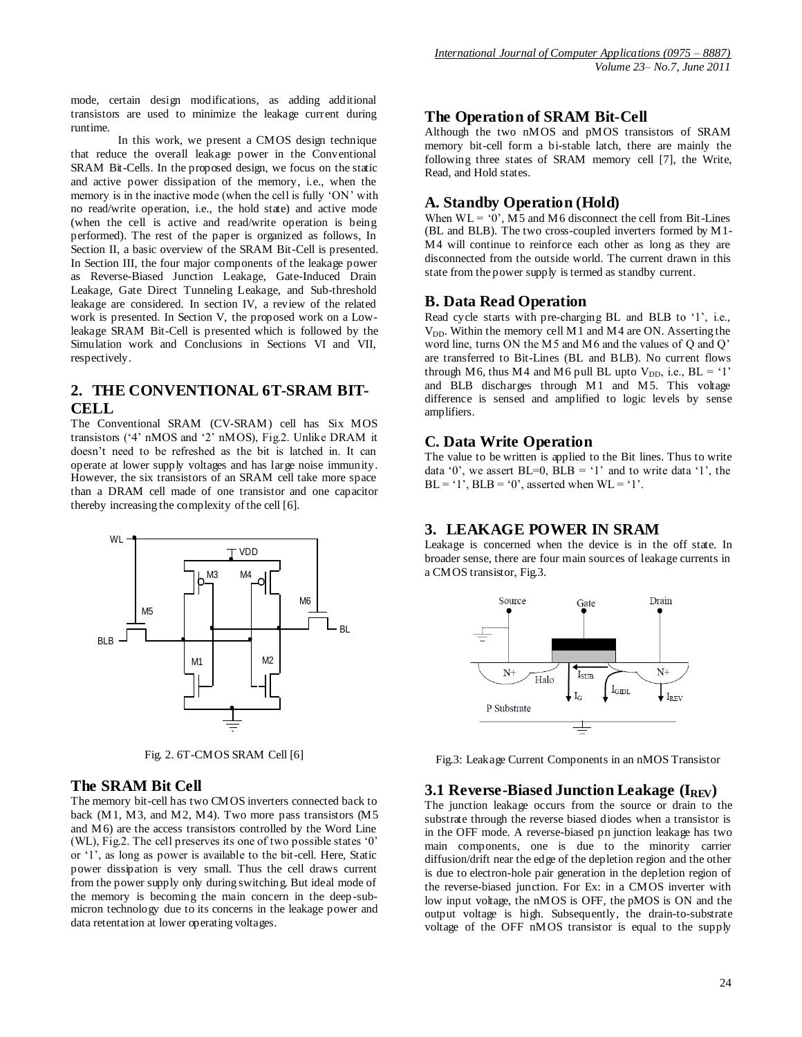mode, certain design modifications, as adding additional transistors are used to minimize the leakage current during runtime.

In this work, we present a CMOS design technique that reduce the overall leakage power in the Conventional SRAM Bit-Cells. In the proposed design, we focus on the static and active power dissipation of the memory, i.e., when the memory is in the inactive mode (when the cell is fully 'ON' with no read/write operation, i.e., the hold state) and active mode (when the cell is active and read/write operation is being performed). The rest of the paper is organized as follows, In Section II, a basic overview of the SRAM Bit-Cell is presented. In Section III, the four major components of the leakage power as Reverse-Biased Junction Leakage, Gate-Induced Drain Leakage, Gate Direct Tunneling Leakage, and Sub-threshold leakage are considered. In section IV, a review of the related work is presented. In Section V, the proposed work on a Lowleakage SRAM Bit-Cell is presented which is followed by the Simulation work and Conclusions in Sections VI and VII, respectively.

# **2. THE CONVENTIONAL 6T-SRAM BIT-CELL**

The Conventional SRAM (CV-SRAM) cell has Six MOS transistors ("4" nMOS and "2" nMOS), Fig.2. Unlike DRAM it doesn"t need to be refreshed as the bit is latched in. It can operate at lower supply voltages and has large noise immunity. However, the six transistors of an SRAM cell take more space than a DRAM cell made of one transistor and one capacitor thereby increasing the complexity of the cell [6].



Fig. 2. 6T-CMOS SRAM Cell [6]

## **The SRAM Bit Cell**

The memory bit-cell has two CMOS inverters connected back to back (M1, M3, and M2, M4). Two more pass transistors (M5 and M6) are the access transistors controlled by the Word Line (WL), Fig.2. The cell preserves its one of two possible states "0" or "1", as long as power is available to the bit-cell. Here, Static power dissipation is very small. Thus the cell draws current from the power supply only during switching. But ideal mode of the memory is becoming the main concern in the deep -submicron technology due to its concerns in the leakage power and data retentation at lower operating voltages.

# **The Operation of SRAM Bit-Cell**

Although the two nMOS and pMOS transistors of SRAM memory bit-cell form a bi-stable latch, there are mainly the following three states of SRAM memory cell [7], the Write, Read, and Hold states.

## **A. Standby Operation (Hold)**

When  $WL = '0'$ , M5 and M6 disconnect the cell from Bit-Lines (BL and BLB). The two cross-coupled inverters formed by M1- M4 will continue to reinforce each other as long as they are disconnected from the outside world. The current drawn in this state from the power supply is termed as standby current.

#### **B. Data Read Operation**

Read cycle starts with pre-charging BL and BLB to '1', i.e.,  $V_{DD}$ . Within the memory cell M1 and M4 are ON. Asserting the word line, turns ON the M5 and M6 and the values of Q and Q" are transferred to Bit-Lines (BL and BLB). No current flows through M6, thus M4 and M6 pull BL upto  $V_{DD}$ , i.e., BL = '1' and BLB discharges through M1 and M5. This voltage difference is sensed and amplified to logic levels by sense amplifiers.

## **C. Data Write Operation**

The value to be written is applied to the Bit lines. Thus to write data  $0'$ , we assert BL=0, BLB =  $1'$  and to write data  $1'$ , the  $BL = '1'$ ,  $BLB = '0'$ , asserted when  $WL = '1'$ .

# **3. LEAKAGE POWER IN SRAM**

Leakage is concerned when the device is in the off state. In broader sense, there are four main sources of leakage currents in a CMOS transistor, Fig.3.



Fig.3: Leakage Current Components in an nMOS Transistor

## **3.1 Reverse-Biased Junction Leakage (I<sub>REV</sub>)**

The junction leakage occurs from the source or drain to the substrate through the reverse biased diodes when a transistor is in the OFF mode. A reverse-biased pn junction leakage has two main components, one is due to the minority carrier diffusion/drift near the edge of the depletion region and the other is due to electron-hole pair generation in the depletion region of the reverse-biased junction. For Ex: in a CMOS inverter with low input voltage, the nMOS is OFF, the pMOS is ON and the output voltage is high. Subsequently, the drain-to-substrate voltage of the OFF nMOS transistor is equal to the supply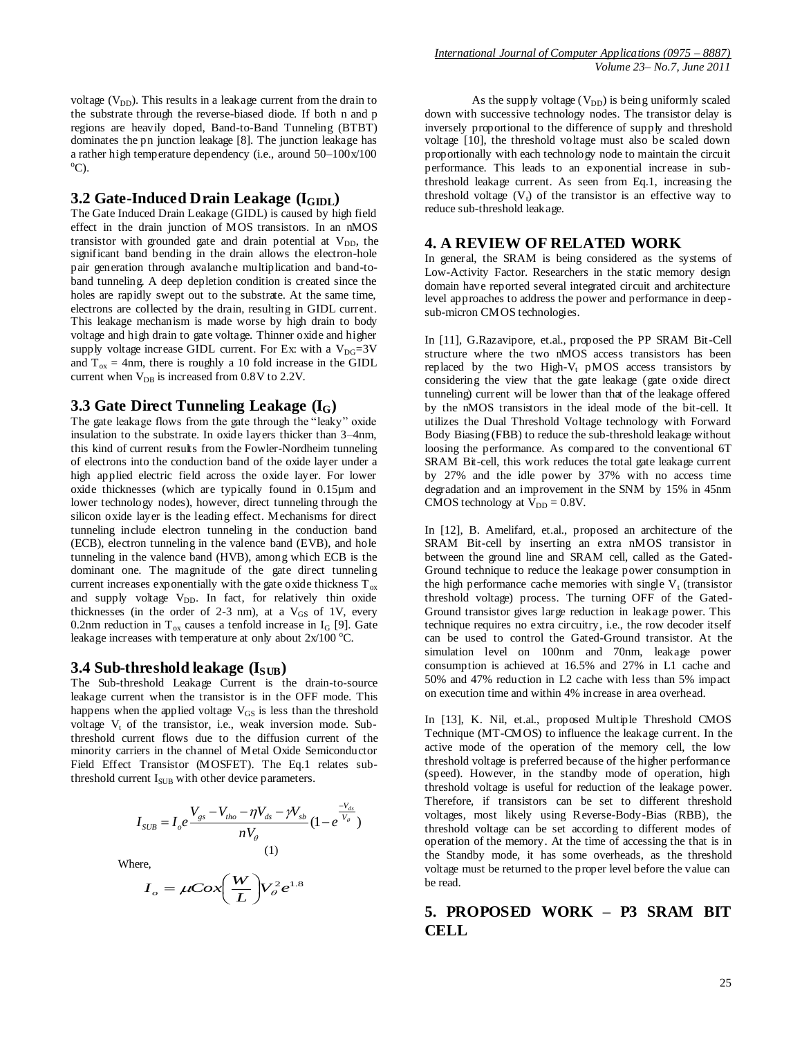voltage  $(V_{DD})$ . This results in a leakage current from the drain to the substrate through the reverse-biased diode. If both n and p regions are heavily doped, Band-to-Band Tunneling (BTBT) dominates the pn junction leakage [8]. The junction leakage has a rather high temperature dependency (i.e., around 50–100x/100  $^{\circ}$ C).

#### **3.2** Gate-Induced Drain Leakage (I<sub>GIDL</sub>)

The Gate Induced Drain Leakage (GIDL) is caused by high field effect in the drain junction of MOS transistors. In an nMOS transistor with grounded gate and drain potential at  $V_{DD}$ , the significant band bending in the drain allows the electron-hole pair generation through avalanche multiplication and band-toband tunneling. A deep depletion condition is created since the holes are rapidly swept out to the substrate. At the same time, electrons are collected by the drain, resulting in GIDL current. This leakage mechanism is made worse by high drain to body voltage and high drain to gate voltage. Thinner oxide and higher supply voltage increase GIDL current. For Ex: with a  $V_{\text{DG}}=3V$ and  $T_{ox} = 4$ nm, there is roughly a 10 fold increase in the GIDL current when  $V_{\text{DR}}$  is increased from 0.8V to 2.2V.

#### **3.3 Gate Direct Tunneling Leakage (IG)**

The gate leakage flows from the gate through the "leaky" oxide insulation to the substrate. In oxide layers thicker than 3–4nm, this kind of current results from the Fowler-Nordheim tunneling of electrons into the conduction band of the oxide layer under a high applied electric field across the oxide layer. For lower oxide thicknesses (which are typically found in 0.15µm and lower technology nodes), however, direct tunneling through the silicon oxide layer is the leading effect. Mechanisms for direct tunneling include electron tunneling in the conduction band (ECB), electron tunneling in the valence band (EVB), and hole tunneling in the valence band (HVB), among which ECB is the dominant one. The magnitude of the gate direct tunneling current increases exponentially with the gate oxide thickness  $T_{ox}$ and supply voltage  $V_{DD}$ . In fact, for relatively thin oxide thicknesses (in the order of 2-3 nm), at a  $V_{GS}$  of 1V, every 0.2nm reduction in  $T_{ox}$  causes a tenfold increase in  $I_G$  [9]. Gate leakage increases with temperature at only about  $2x/100$  °C.

#### **3.4 Sub-threshold leakage (ISUB)**

The Sub-threshold Leakage Current is the drain-to-source leakage current when the transistor is in the OFF mode. This happens when the applied voltage  $V_{GS}$  is less than the threshold voltage  $V_t$  of the transistor, i.e., weak inversion mode. Subthreshold current flows due to the diffusion current of the minority carriers in the channel of Metal Oxide Semiconductor Field Effect Transistor (MOSFET). The Eq.1 relates subthreshold current  $I<sub>SUB</sub>$  with other device parameters.

$$
I_{SUB} = I_{o}e^{\frac{V_{gs} - V_{tho} - \eta V_{ds} - \gamma V_{sb}}{nV_{o}}}(1 - e^{\frac{-V_{ds}}{V_{o}}})
$$
\n(1)

Where,

$$
I_o = \mu \cos\left(\frac{W}{L}\right) V_o^2 e^{1.8}
$$

As the supply voltage  $(V_{DD})$  is being uniformly scaled down with successive technology nodes. The transistor delay is inversely proportional to the difference of supply and threshold voltage [10], the threshold voltage must also be scaled down proportionally with each technology node to maintain the circuit performance. This leads to an exponential increase in subthreshold leakage current. As seen from Eq.1, increasing the threshold voltage  $(V_t)$  of the transistor is an effective way to reduce sub-threshold leakage.

#### **4. A REVIEW OF RELATED WORK**

In general, the SRAM is being considered as the systems of Low-Activity Factor. Researchers in the static memory design domain have reported several integrated circuit and architecture level approaches to address the power and performance in deep sub-micron CMOS technologies.

In [11], G.Razavipore, et.al., proposed the PP SRAM Bit-Cell structure where the two nMOS access transistors has been replaced by the two High- $V_t$  pMOS access transistors by considering the view that the gate leakage (gate oxide direct tunneling) current will be lower than that of the leakage offered by the nMOS transistors in the ideal mode of the bit-cell. It utilizes the Dual Threshold Voltage technology with Forward Body Biasing (FBB) to reduce the sub-threshold leakage without loosing the performance. As compared to the conventional 6T SRAM Bit-cell, this work reduces the total gate leakage current by 27% and the idle power by 37% with no access time degradation and an improvement in the SNM by 15% in 45nm CMOS technology at  $V_{DD} = 0.8V$ .

In [12], B. Amelifard, et.al., proposed an architecture of the SRAM Bit-cell by inserting an extra nMOS transistor in between the ground line and SRAM cell, called as the Gated-Ground technique to reduce the leakage power consumption in the high performance cache memories with single  $V_t$  (transistor threshold voltage) process. The turning OFF of the Gated-Ground transistor gives large reduction in leakage power. This technique requires no extra circuitry, i.e., the row decoder itself can be used to control the Gated-Ground transistor. At the simulation level on 100nm and 70nm, leakage power consumption is achieved at 16.5% and 27% in L1 cache and 50% and 47% reduction in L2 cache with less than 5% impact on execution time and within 4% increase in area overhead.

In [13], K. Nil, et.al., proposed Multiple Threshold CMOS Technique (MT-CMOS) to influence the leakage current. In the active mode of the operation of the memory cell, the low threshold voltage is preferred because of the higher performance (speed). However, in the standby mode of operation, high threshold voltage is useful for reduction of the leakage power. Therefore, if transistors can be set to different threshold voltages, most likely using Reverse-Body-Bias (RBB), the threshold voltage can be set according to different modes of operation of the memory. At the time of accessing the that is in the Standby mode, it has some overheads, as the threshold voltage must be returned to the proper level before the value can be read.

# **5. PROPOSED WORK – P3 SRAM BIT CELL**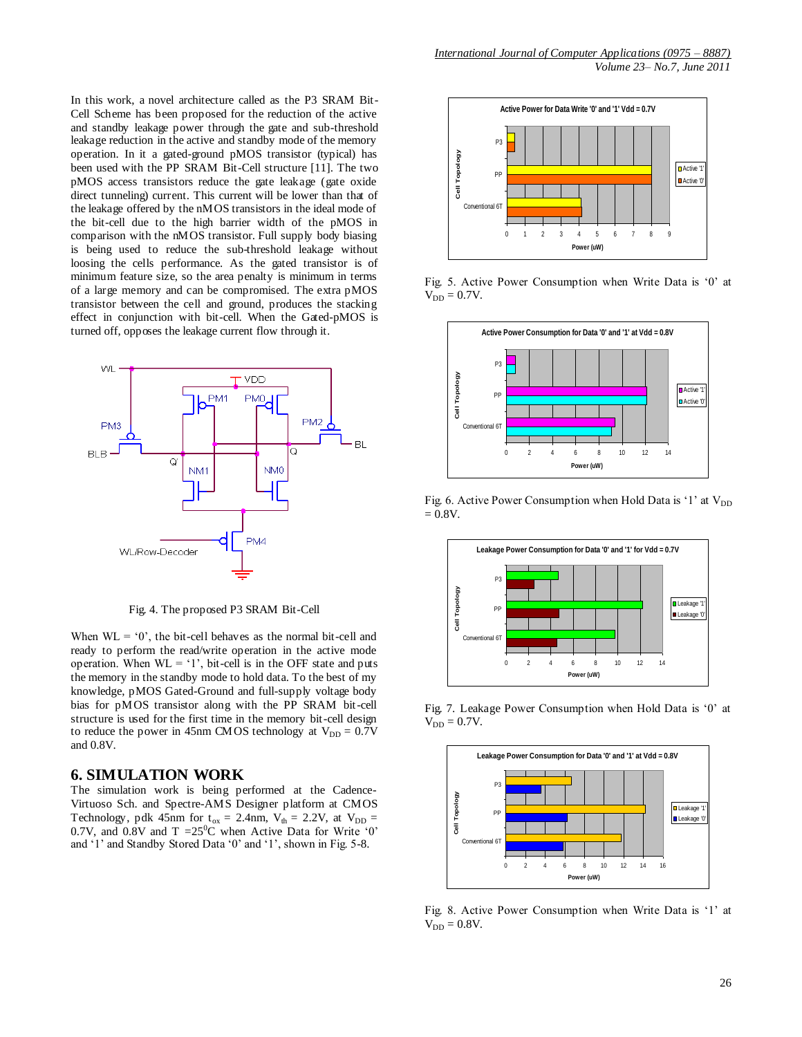In this work, a novel architecture called as the P3 SRAM Bit-Cell Scheme has been proposed for the reduction of the active and standby leakage power through the gate and sub-threshold leakage reduction in the active and standby mode of the memory operation. In it a gated-ground pMOS transistor (typical) has been used with the PP SRAM Bit-Cell structure [11]. The two pMOS access transistors reduce the gate leakage (gate oxide direct tunneling) current. This current will be lower than that of the leakage offered by the nMOS transistors in the ideal mode of the bit-cell due to the high barrier width of the pMOS in comparison with the nMOS transistor. Full supply body biasing is being used to reduce the sub-threshold leakage without loosing the cells performance. As the gated transistor is of minimum feature size, so the area penalty is minimum in terms of a large memory and can be compromised. The extra pMOS transistor between the cell and ground, produces the stacking effect in conjunction with bit-cell. When the Gated-pMOS is turned off, opposes the leakage current flow through it.



Fig. 4. The proposed P3 SRAM Bit-Cell

When  $WL = '0'$ , the bit-cell behaves as the normal bit-cell and ready to perform the read/write operation in the active mode operation. When  $WL = '1'$ , bit-cell is in the OFF state and puts the memory in the standby mode to hold data. To the best of my knowledge, pMOS Gated-Ground and full-supply voltage body bias for pMOS transistor along with the PP SRAM bit-cell structure is used for the first time in the memory bit-cell design to reduce the power in 45nm CMOS technology at  $V_{DD} = 0.7V$ and 0.8V.

#### **6. SIMULATION WORK**

The simulation work is being performed at the Cadence-Virtuoso Sch. and Spectre-AMS Designer platform at CMOS Technology, pdk 45nm for  $t_{ox} = 2.4$ nm,  $V_{th} = 2.2V$ , at  $V_{DD} =$ 0.7V, and 0.8V and  $T = 25^{\circ}\text{C}$  when Active Data for Write '0' and "1" and Standby Stored Data "0" and "1", shown in Fig. 5-8.



Fig. 5. Active Power Consumption when Write Data is "0" at  $V_{DD} = 0.7V$ .



Fig. 6. Active Power Consumption when Hold Data is '1' at  $V_{DD}$  $= 0.8V.$ 



Fig. 7. Leakage Power Consumption when Hold Data is "0" at  $V_{DD} = 0.7V$ .

![](_page_3_Figure_13.jpeg)

Fig. 8. Active Power Consumption when Write Data is "1" at  $V_{DD} = 0.8V$ .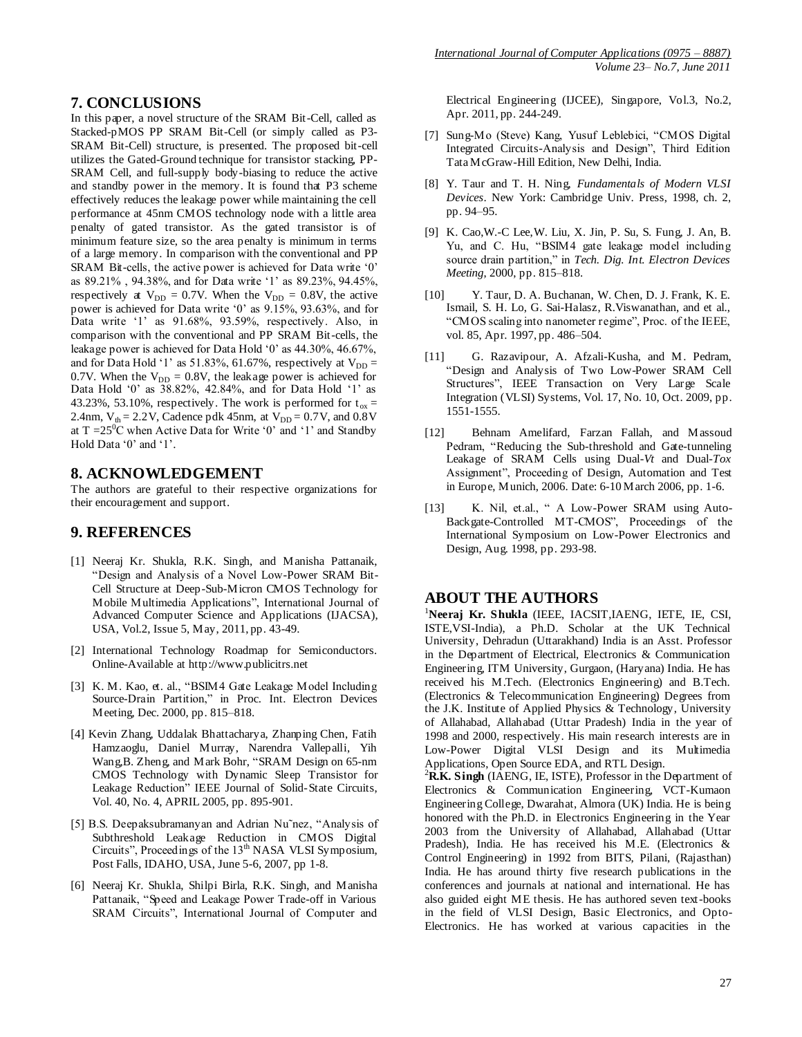#### **7. CONCLUSIONS**

In this paper, a novel structure of the SRAM Bit-Cell, called as Stacked-pMOS PP SRAM Bit-Cell (or simply called as P3- SRAM Bit-Cell) structure, is presented. The proposed bit-cell utilizes the Gated-Ground technique for transistor stacking, PP-SRAM Cell, and full-supply body-biasing to reduce the active and standby power in the memory. It is found that P3 scheme effectively reduces the leakage power while maintaining the cell performance at 45nm CMOS technology node with a little area penalty of gated transistor. As the gated transistor is of minimum feature size, so the area penalty is minimum in terms of a large memory. In comparison with the conventional and PP SRAM Bit-cells, the active power is achieved for Data write '0' as 89.21% , 94.38%, and for Data write "1" as 89.23%, 94.45%, respectively at  $V_{DD} = 0.7V$ . When the  $V_{DD} = 0.8V$ , the active power is achieved for Data write "0" as 9.15%, 93.63%, and for Data write '1' as 91.68%, 93.59%, respectively. Also, in comparison with the conventional and PP SRAM Bit-cells, the leakage power is achieved for Data Hold "0" as 44.30%, 46.67%, and for Data Hold '1' as  $51.83\%$ ,  $61.67\%$ , respectively at  $V_{DD} =$ 0.7V. When the  $V_{DD} = 0.8V$ , the leakage power is achieved for Data Hold "0" as 38.82%, 42.84%, and for Data Hold "1" as 43.23%, 53.10%, respectively. The work is performed for  $t_{ox}$  = 2.4nm,  $V_{th} = 2.2 V$ , Cadence pdk 45nm, at  $V_{DD} = 0.7 V$ , and  $0.8 V$ at  $T = 25^{\circ}$ C when Active Data for Write '0' and '1' and Standby Hold Data '0' and '1'.

## **8. ACKNOWLEDGEMENT**

The authors are grateful to their respective organizations for their encouragement and support.

## **9. REFERENCES**

- [1] Neeraj Kr. Shukla, R.K. Singh, and Manisha Pattanaik, "Design and Analysis of a Novel Low-Power SRAM Bit-Cell Structure at Deep-Sub-Micron CMOS Technology for Mobile Multimedia Applications", International Journal of Advanced Computer Science and Applications (IJACSA), USA, Vol.2, Issue 5, May, 2011, pp. 43-49.
- [2] International Technology Roadmap for Semiconductors. Online-Available at http://www.publicitrs.net
- [3] K. M. Kao, et. al., "BSIM4 Gate Leakage Model Including Source-Drain Partition," in Proc. Int. Electron Devices Meeting, Dec. 2000, pp. 815–818.
- [4] Kevin Zhang, Uddalak Bhattacharya, Zhanping Chen, Fatih Hamzaoglu, Daniel Murray, Narendra Vallepalli, Yih Wang,B. Zheng, and Mark Bohr, "SRAM Design on 65-nm CMOS Technology with Dynamic Sleep Transistor for Leakage Reduction" IEEE Journal of Solid-State Circuits, Vol. 40, No. 4, APRIL 2005, pp. 895-901.
- [5] B.S. Deepaksubramanyan and Adrian Nu˜nez, "Analysis of Subthreshold Leakage Reduction in CMOS Digital Circuits", Proceedings of the 13<sup>th</sup> NASA VLSI Symposium, Post Falls, IDAHO, USA, June 5-6, 2007, pp 1-8.
- [6] Neeraj Kr. Shukla, Shilpi Birla, R.K. Singh, and Manisha Pattanaik, "Speed and Leakage Power Trade-off in Various SRAM Circuits", International Journal of Computer and

Electrical Engineering (IJCEE), Singapore, Vol.3, No.2, Apr. 2011, pp. 244-249.

- [7] Sung-Mo (Steve) Kang, Yusuf Leblebici, "CMOS Digital Integrated Circuits-Analysis and Design", Third Edition Tata McGraw-Hill Edition, New Delhi, India.
- [8] Y. Taur and T. H. Ning, *Fundamentals of Modern VLSI Devices*. New York: Cambridge Univ. Press, 1998, ch. 2, pp. 94–95.
- [9] K. Cao,W.-C Lee,W. Liu, X. Jin, P. Su, S. Fung, J. An, B. Yu, and C. Hu, "BSIM4 gate leakage model including source drain partition," in *Tech. Dig. Int. Electron Devices Meeting*, 2000, pp. 815–818.
- [10] Y. Taur, D. A. Buchanan, W. Chen, D. J. Frank, K. E. Ismail, S. H. Lo, G. Sai-Halasz, R.Viswanathan, and et al., "CMOS scaling into nanometer regime", Proc. of the IEEE, vol. 85, Apr. 1997, pp. 486–504.
- [11] G. Razavipour, A. Afzali-Kusha, and M. Pedram, "Design and Analysis of Two Low-Power SRAM Cell Structures", IEEE Transaction on Very Large Scale Integration (VLSI) Systems, Vol. 17, No. 10, Oct. 2009, pp. 1551-1555.
- [12] Behnam Amelifard, Farzan Fallah, and Massoud Pedram, "Reducing the Sub-threshold and Gate-tunneling Leakage of SRAM Cells using Dual-*Vt* and Dual-*Tox*  Assignment", Proceeding of [Design, Automation and Test](http://ieeexplore.ieee.org/xpl/mostRecentIssue.jsp?punumber=11014)  [in Europe, Munich, 2006. D](http://ieeexplore.ieee.org/xpl/mostRecentIssue.jsp?punumber=11014)ate: 6-10 March 2006, pp. 1-6.
- [13] K. Nil, et.al., " A Low-Power SRAM using Auto-Backgate-Controlled MT-CMOS", Proceedings of the International Symposium on Low-Power Electronics and Design, Aug. 1998, pp. 293-98.

## **ABOUT THE AUTHORS**

<sup>1</sup>**Neeraj Kr. Shukla** (IEEE, IACSIT,IAENG, IETE, IE, CSI, ISTE,VSI-India), a Ph.D. Scholar at the UK Technical University, Dehradun (Uttarakhand) India is an Asst. Professor in the Department of Electrical, Electronics & Communication Engineering, ITM University, Gurgaon, (Haryana) India. He has received his M.Tech. (Electronics Engineering) and B.Tech. (Electronics & Telecommunication Engineering) Degrees from the J.K. Institute of Applied Physics & Technology, University of Allahabad, Allahabad (Uttar Pradesh) India in the year of 1998 and 2000, respectively. His main research interests are in Low-Power Digital VLSI Design and its Multimedia Applications, Open Source EDA, and RTL Design.

<sup>2</sup>R.K. Singh (IAENG, IE, ISTE), Professor in the Department of Electronics & Communication Engineering, VCT-Kumaon Engineering College, Dwarahat, Almora (UK) India. He is being honored with the Ph.D. in Electronics Engineering in the Year 2003 from the University of Allahabad, Allahabad (Uttar Pradesh), India. He has received his M.E. (Electronics & Control Engineering) in 1992 from BITS, Pilani, (Rajasthan) India. He has around thirty five research publications in the conferences and journals at national and international. He has also guided eight ME thesis. He has authored seven text-books in the field of VLSI Design, Basic Electronics, and Opto-Electronics. He has worked at various capacities in the